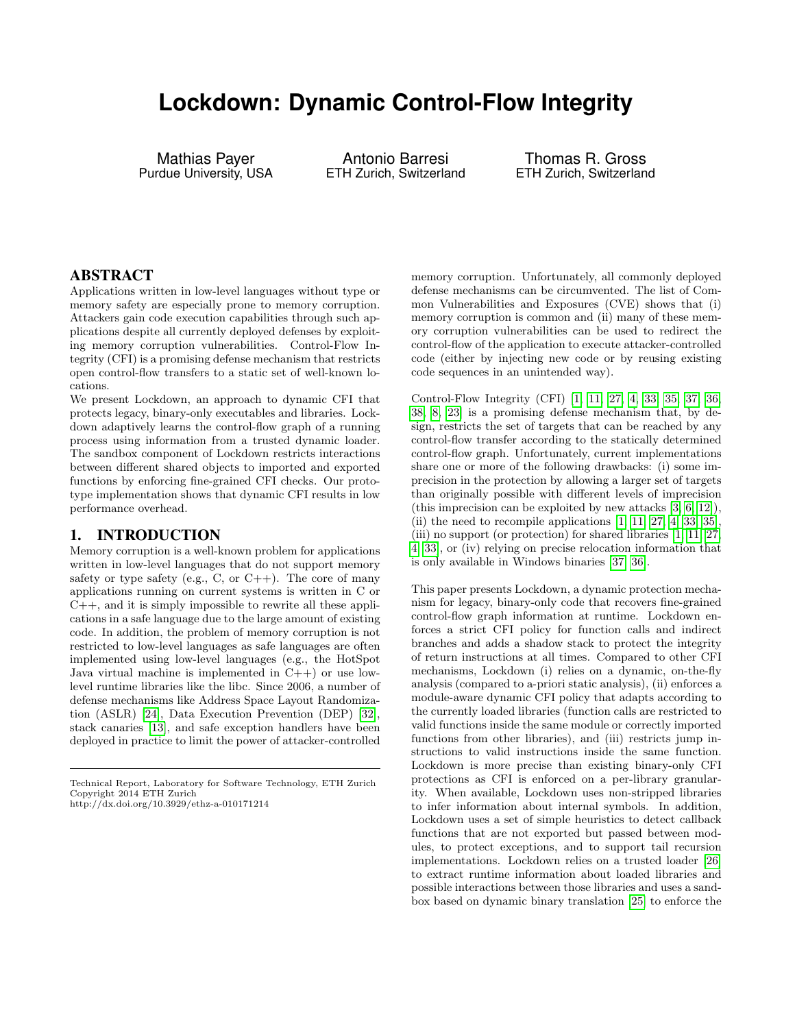# **Lockdown: Dynamic Control-Flow Integrity**

Mathias Payer Purdue University, USA

Antonio Barresi ETH Zurich, Switzerland

Thomas R. Gross ETH Zurich, Switzerland

#### ABSTRACT

Applications written in low-level languages without type or memory safety are especially prone to memory corruption. Attackers gain code execution capabilities through such applications despite all currently deployed defenses by exploiting memory corruption vulnerabilities. Control-Flow Integrity (CFI) is a promising defense mechanism that restricts open control-flow transfers to a static set of well-known locations.

We present Lockdown, an approach to dynamic CFI that protects legacy, binary-only executables and libraries. Lockdown adaptively learns the control-flow graph of a running process using information from a trusted dynamic loader. The sandbox component of Lockdown restricts interactions between different shared objects to imported and exported functions by enforcing fine-grained CFI checks. Our prototype implementation shows that dynamic CFI results in low performance overhead.

#### 1. INTRODUCTION

Memory corruption is a well-known problem for applications written in low-level languages that do not support memory safety or type safety (e.g., C, or  $C_{++}$ ). The core of many applications running on current systems is written in C or C++, and it is simply impossible to rewrite all these applications in a safe language due to the large amount of existing code. In addition, the problem of memory corruption is not restricted to low-level languages as safe languages are often implemented using low-level languages (e.g., the HotSpot Java virtual machine is implemented in  $C++$ ) or use lowlevel runtime libraries like the libc. Since 2006, a number of defense mechanisms like Address Space Layout Randomization (ASLR) [\[24\]](#page-9-0), Data Execution Prevention (DEP) [\[32\]](#page-9-1), stack canaries [\[13\]](#page-8-0), and safe exception handlers have been deployed in practice to limit the power of attacker-controlled

memory corruption. Unfortunately, all commonly deployed defense mechanisms can be circumvented. The list of Common Vulnerabilities and Exposures (CVE) shows that (i) memory corruption is common and (ii) many of these memory corruption vulnerabilities can be used to redirect the control-flow of the application to execute attacker-controlled code (either by injecting new code or by reusing existing code sequences in an unintended way).

Control-Flow Integrity (CFI) [\[1,](#page-8-1) [11,](#page-8-2) [27,](#page-9-2) [4,](#page-8-3) [33,](#page-9-3) [35,](#page-9-4) [37,](#page-9-5) [36,](#page-9-6) [38,](#page-9-7) [8,](#page-8-4) [23\]](#page-9-8) is a promising defense mechanism that, by design, restricts the set of targets that can be reached by any control-flow transfer according to the statically determined control-flow graph. Unfortunately, current implementations share one or more of the following drawbacks: (i) some imprecision in the protection by allowing a larger set of targets than originally possible with different levels of imprecision (this imprecision can be exploited by new attacks [\[3,](#page-8-5) [6,](#page-8-6) [12\]](#page-8-7)), (ii) the need to recompile applications  $[1, 11, 27, 4, 33, 35]$  $[1, 11, 27, 4, 33, 35]$  $[1, 11, 27, 4, 33, 35]$  $[1, 11, 27, 4, 33, 35]$  $[1, 11, 27, 4, 33, 35]$  $[1, 11, 27, 4, 33, 35]$ , (iii) no support (or protection) for shared libraries [\[1,](#page-8-1) [11,](#page-8-2) [27,](#page-9-2) [4,](#page-8-3) [33\]](#page-9-3), or (iv) relying on precise relocation information that is only available in Windows binaries [\[37,](#page-9-5) [36\]](#page-9-6).

This paper presents Lockdown, a dynamic protection mechanism for legacy, binary-only code that recovers fine-grained control-flow graph information at runtime. Lockdown enforces a strict CFI policy for function calls and indirect branches and adds a shadow stack to protect the integrity of return instructions at all times. Compared to other CFI mechanisms, Lockdown (i) relies on a dynamic, on-the-fly analysis (compared to a-priori static analysis), (ii) enforces a module-aware dynamic CFI policy that adapts according to the currently loaded libraries (function calls are restricted to valid functions inside the same module or correctly imported functions from other libraries), and (iii) restricts jump instructions to valid instructions inside the same function. Lockdown is more precise than existing binary-only CFI protections as CFI is enforced on a per-library granularity. When available, Lockdown uses non-stripped libraries to infer information about internal symbols. In addition, Lockdown uses a set of simple heuristics to detect callback functions that are not exported but passed between modules, to protect exceptions, and to support tail recursion implementations. Lockdown relies on a trusted loader [\[26\]](#page-9-9) to extract runtime information about loaded libraries and possible interactions between those libraries and uses a sandbox based on dynamic binary translation [\[25\]](#page-9-10) to enforce the

Technical Report, Laboratory for Software Technology, ETH Zurich Copyright 2014 ETH Zurich http://dx.doi.org/10.3929/ethz-a-010171214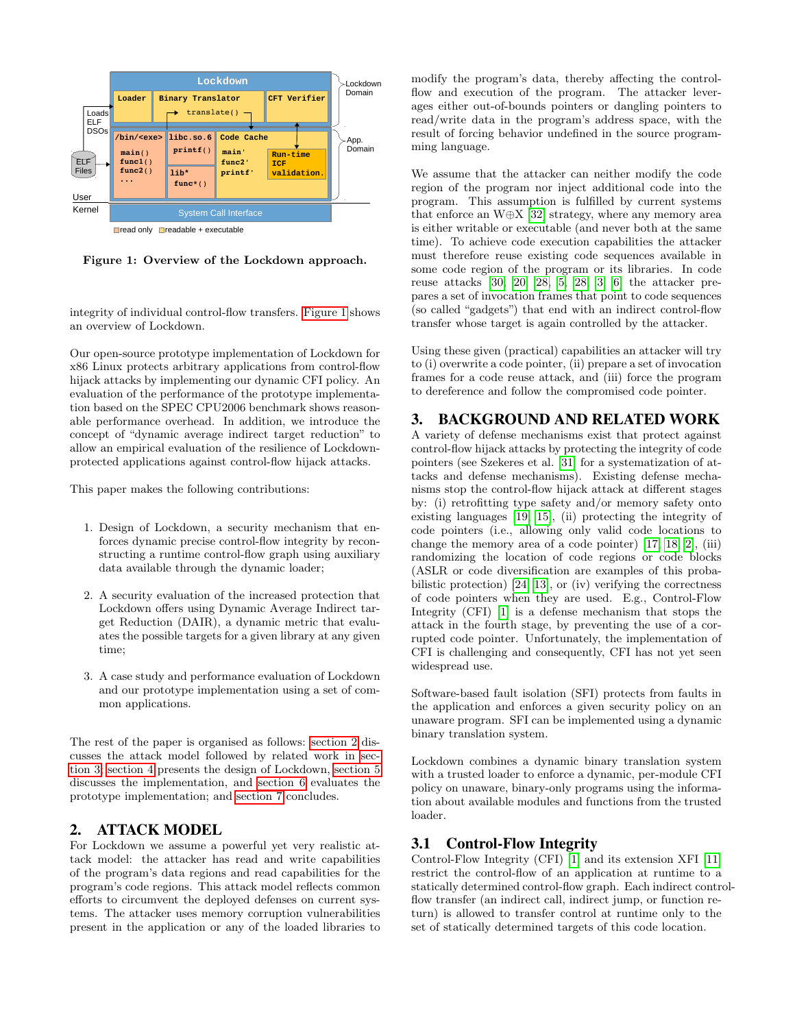

<span id="page-1-0"></span>Figure 1: Overview of the Lockdown approach.

integrity of individual control-flow transfers. [Figure 1](#page-1-0) shows an overview of Lockdown.

Our open-source prototype implementation of Lockdown for x86 Linux protects arbitrary applications from control-flow hijack attacks by implementing our dynamic CFI policy. An evaluation of the performance of the prototype implementation based on the SPEC CPU2006 benchmark shows reasonable performance overhead. In addition, we introduce the concept of "dynamic average indirect target reduction" to allow an empirical evaluation of the resilience of Lockdownprotected applications against control-flow hijack attacks.

This paper makes the following contributions:

- 1. Design of Lockdown, a security mechanism that enforces dynamic precise control-flow integrity by reconstructing a runtime control-flow graph using auxiliary data available through the dynamic loader;
- 2. A security evaluation of the increased protection that Lockdown offers using Dynamic Average Indirect target Reduction (DAIR), a dynamic metric that evaluates the possible targets for a given library at any given time;
- 3. A case study and performance evaluation of Lockdown and our prototype implementation using a set of common applications.

The rest of the paper is organised as follows: [section 2](#page-1-1) discusses the attack model followed by related work in [sec](#page-1-2)[tion 3;](#page-1-2) [section 4](#page-3-0) presents the design of Lockdown, [section 5](#page-4-0) discusses the implementation, and [section 6](#page-5-0) evaluates the prototype implementation; and [section 7](#page-8-8) concludes.

# <span id="page-1-1"></span>2. ATTACK MODEL

For Lockdown we assume a powerful yet very realistic attack model: the attacker has read and write capabilities of the program's data regions and read capabilities for the program's code regions. This attack model reflects common efforts to circumvent the deployed defenses on current systems. The attacker uses memory corruption vulnerabilities present in the application or any of the loaded libraries to

modify the program's data, thereby affecting the controlflow and execution of the program. The attacker leverages either out-of-bounds pointers or dangling pointers to read/write data in the program's address space, with the result of forcing behavior undefined in the source programming language.

We assume that the attacker can neither modify the code region of the program nor inject additional code into the program. This assumption is fulfilled by current systems that enforce an W⊕X [\[32\]](#page-9-1) strategy, where any memory area is either writable or executable (and never both at the same time). To achieve code execution capabilities the attacker must therefore reuse existing code sequences available in some code region of the program or its libraries. In code reuse attacks [\[30,](#page-9-11) [20,](#page-9-12) [28,](#page-9-13) [5,](#page-8-9) [28,](#page-9-13) [3,](#page-8-5) [6\]](#page-8-6) the attacker prepares a set of invocation frames that point to code sequences (so called "gadgets") that end with an indirect control-flow transfer whose target is again controlled by the attacker.

Using these given (practical) capabilities an attacker will try to (i) overwrite a code pointer, (ii) prepare a set of invocation frames for a code reuse attack, and (iii) force the program to dereference and follow the compromised code pointer.

### <span id="page-1-2"></span>3. BACKGROUND AND RELATED WORK

A variety of defense mechanisms exist that protect against control-flow hijack attacks by protecting the integrity of code pointers (see Szekeres et al. [\[31\]](#page-9-14) for a systematization of attacks and defense mechanisms). Existing defense mechanisms stop the control-flow hijack attack at different stages by: (i) retrofitting type safety and/or memory safety onto existing languages [\[19,](#page-9-15) [15\]](#page-8-10), (ii) protecting the integrity of code pointers (i.e., allowing only valid code locations to change the memory area of a code pointer) [\[17,](#page-8-11) [18,](#page-9-16) [2\]](#page-8-12), (iii) randomizing the location of code regions or code blocks (ASLR or code diversification are examples of this probabilistic protection) [\[24,](#page-9-0) [13\]](#page-8-0), or (iv) verifying the correctness of code pointers when they are used. E.g., Control-Flow Integrity (CFI) [\[1\]](#page-8-1) is a defense mechanism that stops the attack in the fourth stage, by preventing the use of a corrupted code pointer. Unfortunately, the implementation of CFI is challenging and consequently, CFI has not yet seen widespread use.

Software-based fault isolation (SFI) protects from faults in the application and enforces a given security policy on an unaware program. SFI can be implemented using a dynamic binary translation system.

Lockdown combines a dynamic binary translation system with a trusted loader to enforce a dynamic, per-module CFI policy on unaware, binary-only programs using the information about available modules and functions from the trusted loader.

# 3.1 Control-Flow Integrity

Control-Flow Integrity (CFI) [\[1\]](#page-8-1) and its extension XFI [\[11\]](#page-8-2) restrict the control-flow of an application at runtime to a statically determined control-flow graph. Each indirect controlflow transfer (an indirect call, indirect jump, or function return) is allowed to transfer control at runtime only to the set of statically determined targets of this code location.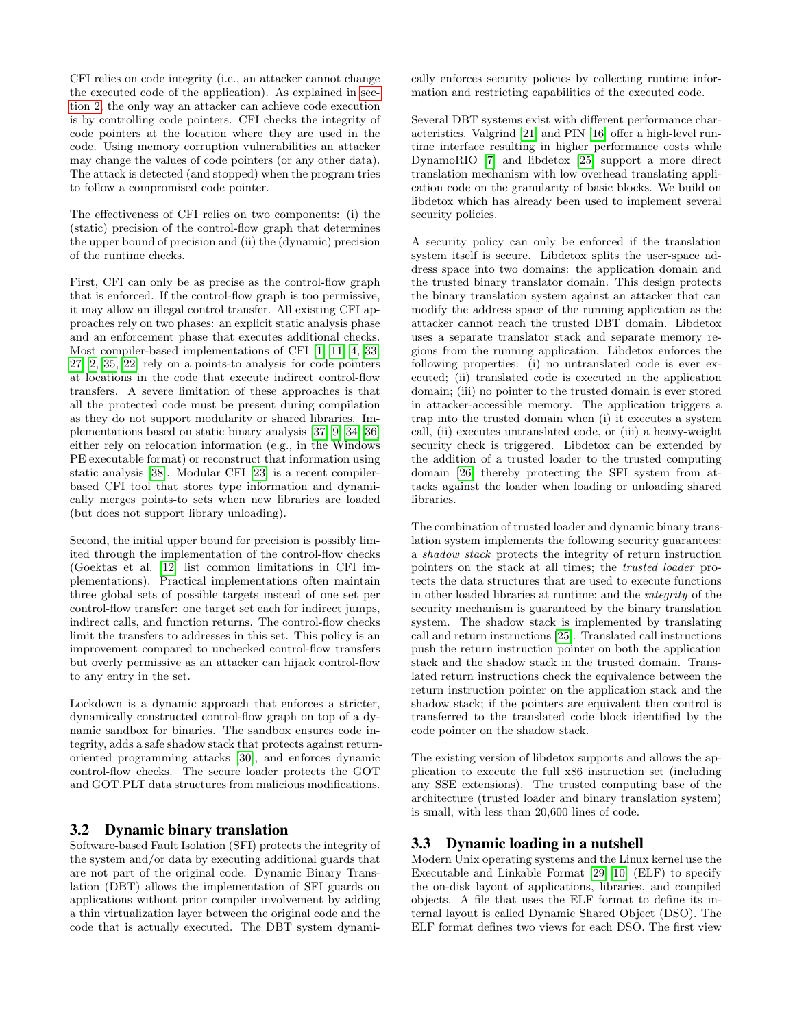CFI relies on code integrity (i.e., an attacker cannot change the executed code of the application). As explained in [sec](#page-1-1)[tion 2,](#page-1-1) the only way an attacker can achieve code execution is by controlling code pointers. CFI checks the integrity of code pointers at the location where they are used in the code. Using memory corruption vulnerabilities an attacker may change the values of code pointers (or any other data). The attack is detected (and stopped) when the program tries to follow a compromised code pointer.

The effectiveness of CFI relies on two components: (i) the (static) precision of the control-flow graph that determines the upper bound of precision and (ii) the (dynamic) precision of the runtime checks.

First, CFI can only be as precise as the control-flow graph that is enforced. If the control-flow graph is too permissive, it may allow an illegal control transfer. All existing CFI approaches rely on two phases: an explicit static analysis phase and an enforcement phase that executes additional checks. Most compiler-based implementations of CFI [\[1,](#page-8-1) [11,](#page-8-2) [4,](#page-8-3) [33,](#page-9-3) [27,](#page-9-2) [2,](#page-8-12) [35,](#page-9-4) [22\]](#page-9-17) rely on a points-to analysis for code pointers at locations in the code that execute indirect control-flow transfers. A severe limitation of these approaches is that all the protected code must be present during compilation as they do not support modularity or shared libraries. Implementations based on static binary analysis [\[37,](#page-9-5) [9,](#page-8-13) [34,](#page-9-18) [36\]](#page-9-6) either rely on relocation information (e.g., in the Windows PE executable format) or reconstruct that information using static analysis [\[38\]](#page-9-7). Modular CFI [\[23\]](#page-9-8) is a recent compilerbased CFI tool that stores type information and dynamically merges points-to sets when new libraries are loaded (but does not support library unloading).

Second, the initial upper bound for precision is possibly limited through the implementation of the control-flow checks (Goektas et al. [\[12\]](#page-8-7) list common limitations in CFI implementations). Practical implementations often maintain three global sets of possible targets instead of one set per control-flow transfer: one target set each for indirect jumps, indirect calls, and function returns. The control-flow checks limit the transfers to addresses in this set. This policy is an improvement compared to unchecked control-flow transfers but overly permissive as an attacker can hijack control-flow to any entry in the set.

Lockdown is a dynamic approach that enforces a stricter, dynamically constructed control-flow graph on top of a dynamic sandbox for binaries. The sandbox ensures code integrity, adds a safe shadow stack that protects against returnoriented programming attacks [\[30\]](#page-9-11), and enforces dynamic control-flow checks. The secure loader protects the GOT and GOT.PLT data structures from malicious modifications.

#### 3.2 Dynamic binary translation

Software-based Fault Isolation (SFI) protects the integrity of the system and/or data by executing additional guards that are not part of the original code. Dynamic Binary Translation (DBT) allows the implementation of SFI guards on applications without prior compiler involvement by adding a thin virtualization layer between the original code and the code that is actually executed. The DBT system dynamically enforces security policies by collecting runtime information and restricting capabilities of the executed code.

Several DBT systems exist with different performance characteristics. Valgrind [\[21\]](#page-9-19) and PIN [\[16\]](#page-8-14) offer a high-level runtime interface resulting in higher performance costs while DynamoRIO [\[7\]](#page-8-15) and libdetox [\[25\]](#page-9-10) support a more direct translation mechanism with low overhead translating application code on the granularity of basic blocks. We build on libdetox which has already been used to implement several security policies.

A security policy can only be enforced if the translation system itself is secure. Libdetox splits the user-space address space into two domains: the application domain and the trusted binary translator domain. This design protects the binary translation system against an attacker that can modify the address space of the running application as the attacker cannot reach the trusted DBT domain. Libdetox uses a separate translator stack and separate memory regions from the running application. Libdetox enforces the following properties: (i) no untranslated code is ever executed; (ii) translated code is executed in the application domain; (iii) no pointer to the trusted domain is ever stored in attacker-accessible memory. The application triggers a trap into the trusted domain when (i) it executes a system call, (ii) executes untranslated code, or (iii) a heavy-weight security check is triggered. Libdetox can be extended by the addition of a trusted loader to the trusted computing domain [\[26\]](#page-9-9) thereby protecting the SFI system from attacks against the loader when loading or unloading shared libraries.

The combination of trusted loader and dynamic binary translation system implements the following security guarantees: a shadow stack protects the integrity of return instruction pointers on the stack at all times; the trusted loader protects the data structures that are used to execute functions in other loaded libraries at runtime; and the integrity of the security mechanism is guaranteed by the binary translation system. The shadow stack is implemented by translating call and return instructions [\[25\]](#page-9-10). Translated call instructions push the return instruction pointer on both the application stack and the shadow stack in the trusted domain. Translated return instructions check the equivalence between the return instruction pointer on the application stack and the shadow stack; if the pointers are equivalent then control is transferred to the translated code block identified by the code pointer on the shadow stack.

The existing version of libdetox supports and allows the application to execute the full x86 instruction set (including any SSE extensions). The trusted computing base of the architecture (trusted loader and binary translation system) is small, with less than 20,600 lines of code.

#### 3.3 Dynamic loading in a nutshell

Modern Unix operating systems and the Linux kernel use the Executable and Linkable Format [\[29,](#page-9-20) [10\]](#page-8-16) (ELF) to specify the on-disk layout of applications, libraries, and compiled objects. A file that uses the ELF format to define its internal layout is called Dynamic Shared Object (DSO). The ELF format defines two views for each DSO. The first view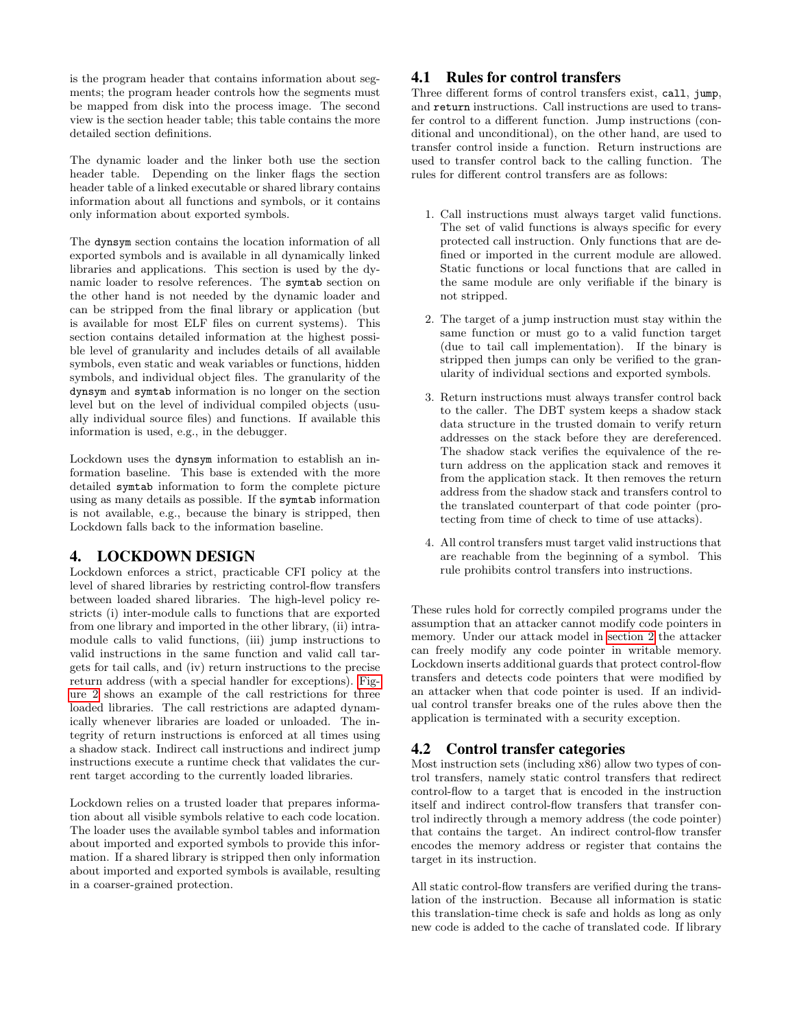is the program header that contains information about segments; the program header controls how the segments must be mapped from disk into the process image. The second view is the section header table; this table contains the more detailed section definitions.

The dynamic loader and the linker both use the section header table. Depending on the linker flags the section header table of a linked executable or shared library contains information about all functions and symbols, or it contains only information about exported symbols.

The dynsym section contains the location information of all exported symbols and is available in all dynamically linked libraries and applications. This section is used by the dynamic loader to resolve references. The symtab section on the other hand is not needed by the dynamic loader and can be stripped from the final library or application (but is available for most ELF files on current systems). This section contains detailed information at the highest possible level of granularity and includes details of all available symbols, even static and weak variables or functions, hidden symbols, and individual object files. The granularity of the dynsym and symtab information is no longer on the section level but on the level of individual compiled objects (usually individual source files) and functions. If available this information is used, e.g., in the debugger.

Lockdown uses the dynsym information to establish an information baseline. This base is extended with the more detailed symtab information to form the complete picture using as many details as possible. If the symtab information is not available, e.g., because the binary is stripped, then Lockdown falls back to the information baseline.

# <span id="page-3-0"></span>4. LOCKDOWN DESIGN

Lockdown enforces a strict, practicable CFI policy at the level of shared libraries by restricting control-flow transfers between loaded shared libraries. The high-level policy restricts (i) inter-module calls to functions that are exported from one library and imported in the other library, (ii) intramodule calls to valid functions, (iii) jump instructions to valid instructions in the same function and valid call targets for tail calls, and (iv) return instructions to the precise return address (with a special handler for exceptions). [Fig](#page-4-1)[ure 2](#page-4-1) shows an example of the call restrictions for three loaded libraries. The call restrictions are adapted dynamically whenever libraries are loaded or unloaded. The integrity of return instructions is enforced at all times using a shadow stack. Indirect call instructions and indirect jump instructions execute a runtime check that validates the current target according to the currently loaded libraries.

Lockdown relies on a trusted loader that prepares information about all visible symbols relative to each code location. The loader uses the available symbol tables and information about imported and exported symbols to provide this information. If a shared library is stripped then only information about imported and exported symbols is available, resulting in a coarser-grained protection.

# <span id="page-3-1"></span>4.1 Rules for control transfers

Three different forms of control transfers exist, call, jump, and return instructions. Call instructions are used to transfer control to a different function. Jump instructions (conditional and unconditional), on the other hand, are used to transfer control inside a function. Return instructions are used to transfer control back to the calling function. The rules for different control transfers are as follows:

- 1. Call instructions must always target valid functions. The set of valid functions is always specific for every protected call instruction. Only functions that are defined or imported in the current module are allowed. Static functions or local functions that are called in the same module are only verifiable if the binary is not stripped.
- 2. The target of a jump instruction must stay within the same function or must go to a valid function target (due to tail call implementation). If the binary is stripped then jumps can only be verified to the granularity of individual sections and exported symbols.
- 3. Return instructions must always transfer control back to the caller. The DBT system keeps a shadow stack data structure in the trusted domain to verify return addresses on the stack before they are dereferenced. The shadow stack verifies the equivalence of the return address on the application stack and removes it from the application stack. It then removes the return address from the shadow stack and transfers control to the translated counterpart of that code pointer (protecting from time of check to time of use attacks).
- 4. All control transfers must target valid instructions that are reachable from the beginning of a symbol. This rule prohibits control transfers into instructions.

These rules hold for correctly compiled programs under the assumption that an attacker cannot modify code pointers in memory. Under our attack model in [section 2](#page-1-1) the attacker can freely modify any code pointer in writable memory. Lockdown inserts additional guards that protect control-flow transfers and detects code pointers that were modified by an attacker when that code pointer is used. If an individual control transfer breaks one of the rules above then the application is terminated with a security exception.

# 4.2 Control transfer categories

Most instruction sets (including x86) allow two types of control transfers, namely static control transfers that redirect control-flow to a target that is encoded in the instruction itself and indirect control-flow transfers that transfer control indirectly through a memory address (the code pointer) that contains the target. An indirect control-flow transfer encodes the memory address or register that contains the target in its instruction.

All static control-flow transfers are verified during the translation of the instruction. Because all information is static this translation-time check is safe and holds as long as only new code is added to the cache of translated code. If library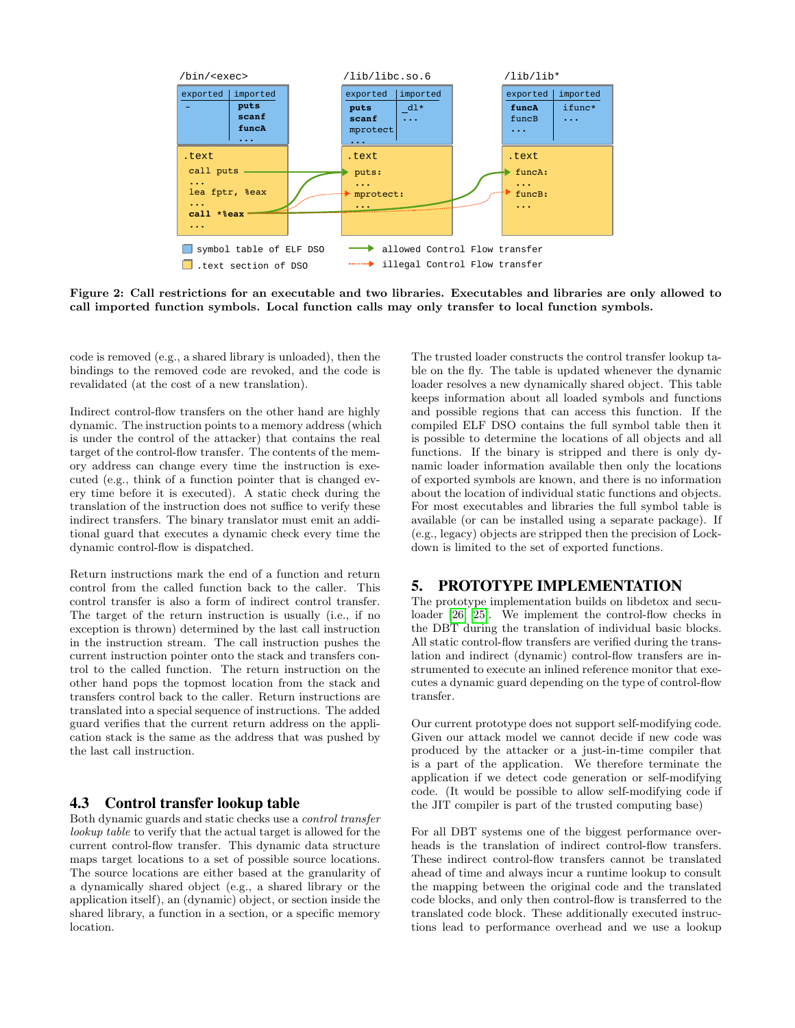

<span id="page-4-1"></span>Figure 2: Call restrictions for an executable and two libraries. Executables and libraries are only allowed to call imported function symbols. Local function calls may only transfer to local function symbols.

code is removed (e.g., a shared library is unloaded), then the bindings to the removed code are revoked, and the code is revalidated (at the cost of a new translation).

Indirect control-flow transfers on the other hand are highly dynamic. The instruction points to a memory address (which is under the control of the attacker) that contains the real target of the control-flow transfer. The contents of the memory address can change every time the instruction is executed (e.g., think of a function pointer that is changed every time before it is executed). A static check during the translation of the instruction does not suffice to verify these indirect transfers. The binary translator must emit an additional guard that executes a dynamic check every time the dynamic control-flow is dispatched.

Return instructions mark the end of a function and return control from the called function back to the caller. This control transfer is also a form of indirect control transfer. The target of the return instruction is usually (i.e., if no exception is thrown) determined by the last call instruction in the instruction stream. The call instruction pushes the current instruction pointer onto the stack and transfers control to the called function. The return instruction on the other hand pops the topmost location from the stack and transfers control back to the caller. Return instructions are translated into a special sequence of instructions. The added guard verifies that the current return address on the application stack is the same as the address that was pushed by the last call instruction.

#### 4.3 Control transfer lookup table

Both dynamic guards and static checks use a control transfer lookup table to verify that the actual target is allowed for the current control-flow transfer. This dynamic data structure maps target locations to a set of possible source locations. The source locations are either based at the granularity of a dynamically shared object (e.g., a shared library or the application itself), an (dynamic) object, or section inside the shared library, a function in a section, or a specific memory location.

The trusted loader constructs the control transfer lookup table on the fly. The table is updated whenever the dynamic loader resolves a new dynamically shared object. This table keeps information about all loaded symbols and functions and possible regions that can access this function. If the compiled ELF DSO contains the full symbol table then it is possible to determine the locations of all objects and all functions. If the binary is stripped and there is only dynamic loader information available then only the locations of exported symbols are known, and there is no information about the location of individual static functions and objects. For most executables and libraries the full symbol table is available (or can be installed using a separate package). If (e.g., legacy) objects are stripped then the precision of Lockdown is limited to the set of exported functions.

#### <span id="page-4-0"></span>5. PROTOTYPE IMPLEMENTATION

The prototype implementation builds on libdetox and seculoader [\[26,](#page-9-9) [25\]](#page-9-10). We implement the control-flow checks in the DBT during the translation of individual basic blocks. All static control-flow transfers are verified during the translation and indirect (dynamic) control-flow transfers are instrumented to execute an inlined reference monitor that executes a dynamic guard depending on the type of control-flow transfer.

Our current prototype does not support self-modifying code. Given our attack model we cannot decide if new code was produced by the attacker or a just-in-time compiler that is a part of the application. We therefore terminate the application if we detect code generation or self-modifying code. (It would be possible to allow self-modifying code if the JIT compiler is part of the trusted computing base)

For all DBT systems one of the biggest performance overheads is the translation of indirect control-flow transfers. These indirect control-flow transfers cannot be translated ahead of time and always incur a runtime lookup to consult the mapping between the original code and the translated code blocks, and only then control-flow is transferred to the translated code block. These additionally executed instructions lead to performance overhead and we use a lookup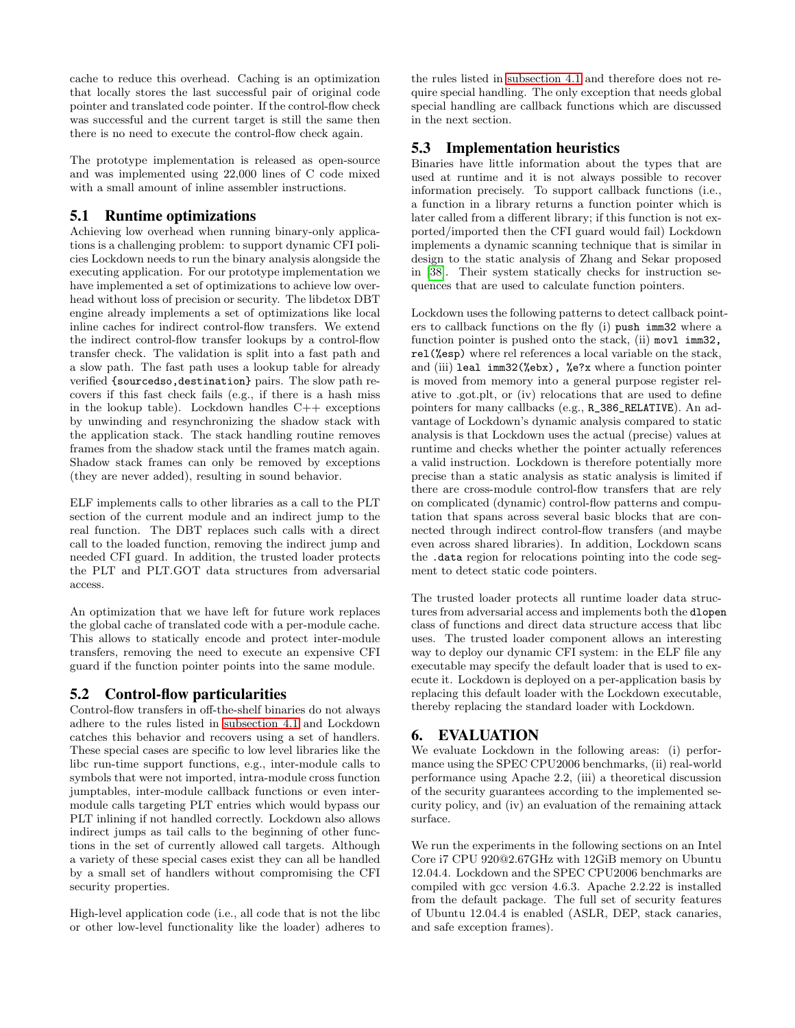cache to reduce this overhead. Caching is an optimization that locally stores the last successful pair of original code pointer and translated code pointer. If the control-flow check was successful and the current target is still the same then there is no need to execute the control-flow check again.

The prototype implementation is released as open-source and was implemented using 22,000 lines of C code mixed with a small amount of inline assembler instructions.

## 5.1 Runtime optimizations

Achieving low overhead when running binary-only applications is a challenging problem: to support dynamic CFI policies Lockdown needs to run the binary analysis alongside the executing application. For our prototype implementation we have implemented a set of optimizations to achieve low overhead without loss of precision or security. The libdetox DBT engine already implements a set of optimizations like local inline caches for indirect control-flow transfers. We extend the indirect control-flow transfer lookups by a control-flow transfer check. The validation is split into a fast path and a slow path. The fast path uses a lookup table for already verified {sourcedso,destination} pairs. The slow path recovers if this fast check fails (e.g., if there is a hash miss in the lookup table). Lockdown handles  $C++$  exceptions by unwinding and resynchronizing the shadow stack with the application stack. The stack handling routine removes frames from the shadow stack until the frames match again. Shadow stack frames can only be removed by exceptions (they are never added), resulting in sound behavior.

ELF implements calls to other libraries as a call to the PLT section of the current module and an indirect jump to the real function. The DBT replaces such calls with a direct call to the loaded function, removing the indirect jump and needed CFI guard. In addition, the trusted loader protects the PLT and PLT.GOT data structures from adversarial access.

An optimization that we have left for future work replaces the global cache of translated code with a per-module cache. This allows to statically encode and protect inter-module transfers, removing the need to execute an expensive CFI guard if the function pointer points into the same module.

# 5.2 Control-flow particularities

Control-flow transfers in off-the-shelf binaries do not always adhere to the rules listed in [subsection 4.1](#page-3-1) and Lockdown catches this behavior and recovers using a set of handlers. These special cases are specific to low level libraries like the libc run-time support functions, e.g., inter-module calls to symbols that were not imported, intra-module cross function jumptables, inter-module callback functions or even intermodule calls targeting PLT entries which would bypass our PLT inlining if not handled correctly. Lockdown also allows indirect jumps as tail calls to the beginning of other functions in the set of currently allowed call targets. Although a variety of these special cases exist they can all be handled by a small set of handlers without compromising the CFI security properties.

High-level application code (i.e., all code that is not the libc or other low-level functionality like the loader) adheres to

the rules listed in [subsection 4.1](#page-3-1) and therefore does not require special handling. The only exception that needs global special handling are callback functions which are discussed in the next section.

# 5.3 Implementation heuristics

Binaries have little information about the types that are used at runtime and it is not always possible to recover information precisely. To support callback functions (i.e., a function in a library returns a function pointer which is later called from a different library; if this function is not exported/imported then the CFI guard would fail) Lockdown implements a dynamic scanning technique that is similar in design to the static analysis of Zhang and Sekar proposed in [\[38\]](#page-9-7). Their system statically checks for instruction sequences that are used to calculate function pointers.

Lockdown uses the following patterns to detect callback pointers to callback functions on the fly (i) push imm32 where a function pointer is pushed onto the stack, (ii) mov1 imm32, rel(%esp) where rel references a local variable on the stack, and (iii) leal imm32(%ebx), %e?x where a function pointer is moved from memory into a general purpose register relative to .got.plt, or (iv) relocations that are used to define pointers for many callbacks (e.g., R\_386\_RELATIVE). An advantage of Lockdown's dynamic analysis compared to static analysis is that Lockdown uses the actual (precise) values at runtime and checks whether the pointer actually references a valid instruction. Lockdown is therefore potentially more precise than a static analysis as static analysis is limited if there are cross-module control-flow transfers that are rely on complicated (dynamic) control-flow patterns and computation that spans across several basic blocks that are connected through indirect control-flow transfers (and maybe even across shared libraries). In addition, Lockdown scans the .data region for relocations pointing into the code segment to detect static code pointers.

The trusted loader protects all runtime loader data structures from adversarial access and implements both the dlopen class of functions and direct data structure access that libc uses. The trusted loader component allows an interesting way to deploy our dynamic CFI system: in the ELF file any executable may specify the default loader that is used to execute it. Lockdown is deployed on a per-application basis by replacing this default loader with the Lockdown executable, thereby replacing the standard loader with Lockdown.

# <span id="page-5-0"></span>6. EVALUATION

We evaluate Lockdown in the following areas: (i) performance using the SPEC CPU2006 benchmarks, (ii) real-world performance using Apache 2.2, (iii) a theoretical discussion of the security guarantees according to the implemented security policy, and (iv) an evaluation of the remaining attack surface.

We run the experiments in the following sections on an Intel Core i7 CPU 920@2.67GHz with 12GiB memory on Ubuntu 12.04.4. Lockdown and the SPEC CPU2006 benchmarks are compiled with gcc version 4.6.3. Apache 2.2.22 is installed from the default package. The full set of security features of Ubuntu 12.04.4 is enabled (ASLR, DEP, stack canaries, and safe exception frames).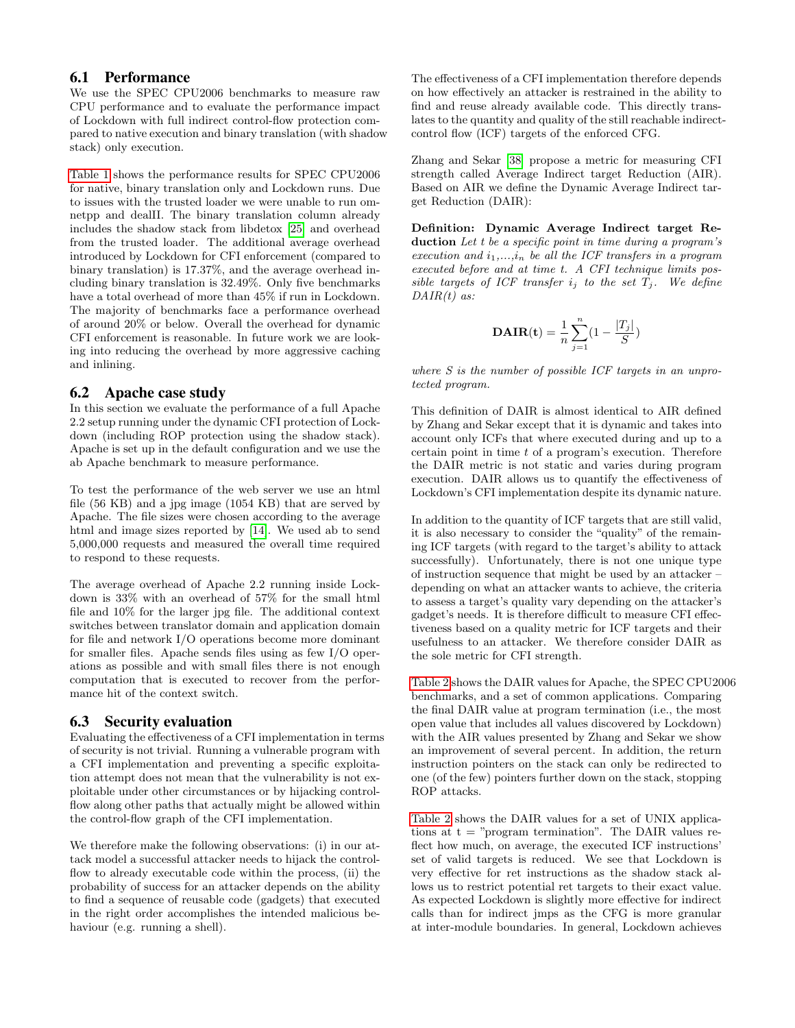#### 6.1 Performance

We use the SPEC CPU2006 benchmarks to measure raw CPU performance and to evaluate the performance impact of Lockdown with full indirect control-flow protection compared to native execution and binary translation (with shadow stack) only execution.

[Table 1](#page-7-0) shows the performance results for SPEC CPU2006 for native, binary translation only and Lockdown runs. Due to issues with the trusted loader we were unable to run omnetpp and dealII. The binary translation column already includes the shadow stack from libdetox [\[25\]](#page-9-10) and overhead from the trusted loader. The additional average overhead introduced by Lockdown for CFI enforcement (compared to binary translation) is 17.37%, and the average overhead including binary translation is 32.49%. Only five benchmarks have a total overhead of more than  $45\%$  if run in Lockdown. The majority of benchmarks face a performance overhead of around 20% or below. Overall the overhead for dynamic CFI enforcement is reasonable. In future work we are looking into reducing the overhead by more aggressive caching and inlining.

#### 6.2 Apache case study

In this section we evaluate the performance of a full Apache 2.2 setup running under the dynamic CFI protection of Lockdown (including ROP protection using the shadow stack). Apache is set up in the default configuration and we use the ab Apache benchmark to measure performance.

To test the performance of the web server we use an html file (56 KB) and a jpg image (1054 KB) that are served by Apache. The file sizes were chosen according to the average html and image sizes reported by [\[14\]](#page-8-17). We used ab to send 5,000,000 requests and measured the overall time required to respond to these requests.

The average overhead of Apache 2.2 running inside Lockdown is 33% with an overhead of 57% for the small html file and 10% for the larger jpg file. The additional context switches between translator domain and application domain for file and network I/O operations become more dominant for smaller files. Apache sends files using as few I/O operations as possible and with small files there is not enough computation that is executed to recover from the performance hit of the context switch.

#### 6.3 Security evaluation

Evaluating the effectiveness of a CFI implementation in terms of security is not trivial. Running a vulnerable program with a CFI implementation and preventing a specific exploitation attempt does not mean that the vulnerability is not exploitable under other circumstances or by hijacking controlflow along other paths that actually might be allowed within the control-flow graph of the CFI implementation.

We therefore make the following observations: (i) in our attack model a successful attacker needs to hijack the controlflow to already executable code within the process, (ii) the probability of success for an attacker depends on the ability to find a sequence of reusable code (gadgets) that executed in the right order accomplishes the intended malicious behaviour (e.g. running a shell).

The effectiveness of a CFI implementation therefore depends on how effectively an attacker is restrained in the ability to find and reuse already available code. This directly translates to the quantity and quality of the still reachable indirectcontrol flow (ICF) targets of the enforced CFG.

Zhang and Sekar [\[38\]](#page-9-7) propose a metric for measuring CFI strength called Average Indirect target Reduction (AIR). Based on AIR we define the Dynamic Average Indirect target Reduction (DAIR):

Definition: Dynamic Average Indirect target Reduction Let t be a specific point in time during a program's execution and  $i_1,...,i_n$  be all the ICF transfers in a program executed before and at time t. A CFI technique limits possible targets of ICF transfer  $i_j$  to the set  $T_j$ . We define  $DAIR(t)$  as:

**DAIR(t)** = 
$$
\frac{1}{n} \sum_{j=1}^{n} (1 - \frac{|T_j|}{S})
$$

where S is the number of possible ICF targets in an unprotected program.

This definition of DAIR is almost identical to AIR defined by Zhang and Sekar except that it is dynamic and takes into account only ICFs that where executed during and up to a certain point in time t of a program's execution. Therefore the DAIR metric is not static and varies during program execution. DAIR allows us to quantify the effectiveness of Lockdown's CFI implementation despite its dynamic nature.

In addition to the quantity of ICF targets that are still valid, it is also necessary to consider the "quality" of the remaining ICF targets (with regard to the target's ability to attack successfully). Unfortunately, there is not one unique type of instruction sequence that might be used by an attacker – depending on what an attacker wants to achieve, the criteria to assess a target's quality vary depending on the attacker's gadget's needs. It is therefore difficult to measure CFI effectiveness based on a quality metric for ICF targets and their usefulness to an attacker. We therefore consider DAIR as the sole metric for CFI strength.

[Table 2](#page-7-1) shows the DAIR values for Apache, the SPEC CPU2006 benchmarks, and a set of common applications. Comparing the final DAIR value at program termination (i.e., the most open value that includes all values discovered by Lockdown) with the AIR values presented by Zhang and Sekar we show an improvement of several percent. In addition, the return instruction pointers on the stack can only be redirected to one (of the few) pointers further down on the stack, stopping ROP attacks.

[Table 2](#page-7-1) shows the DAIR values for a set of UNIX applications at  $t =$  "program termination". The DAIR values reflect how much, on average, the executed ICF instructions' set of valid targets is reduced. We see that Lockdown is very effective for ret instructions as the shadow stack allows us to restrict potential ret targets to their exact value. As expected Lockdown is slightly more effective for indirect calls than for indirect jmps as the CFG is more granular at inter-module boundaries. In general, Lockdown achieves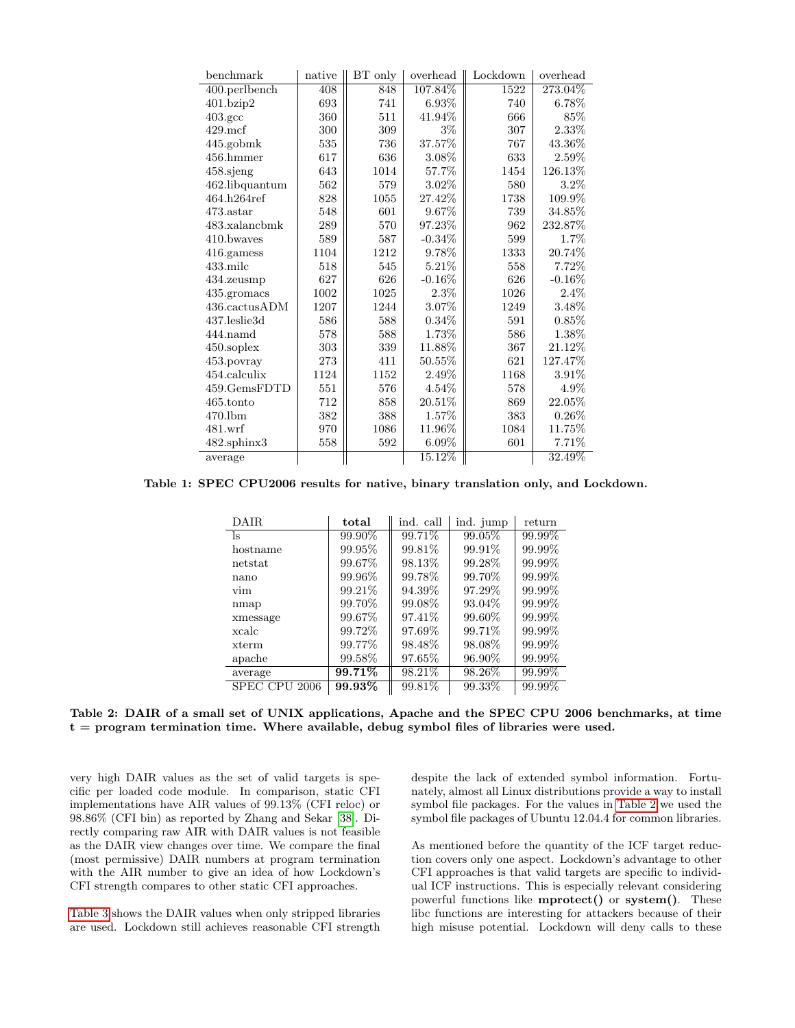| benchmark          | native | BT only | overhead  | Lockdown | overhead |
|--------------------|--------|---------|-----------|----------|----------|
| 400.perlbench      | 408    | 848     | 107.84%   | 1522     | 273.04%  |
| $401$ .bzip $2$    | 693    | 741     | $6.93\%$  | 740      | $6.78\%$ |
| $403.\mathrm{gcc}$ | 360    | 511     | $41.94\%$ | 666      | 85%      |
| $429$ .mcf         | 300    | 309     | $3\%$     | 307      | $2.33\%$ |
| 445.gobmk          | 535    | 736     | 37.57%    | 767      | 43.36%   |
| 456.hmmer          | 617    | 636     | 3.08%     | 633      | 2.59%    |
| 458.sjeng          | 643    | 1014    | 57.7%     | 1454     | 126.13%  |
| $462$ .libquantum  | 562    | 579     | $3.02\%$  | 580      | $3.2\%$  |
| 464.h264ref        | 828    | 1055    | 27.42%    | 1738     | 109.9%   |
| $473.\text{astar}$ | 548    | 601     | 9.67%     | 739      | 34.85%   |
| 483.xalancbmk      | 289    | 570     | 97.23\%   | 962      | 232.87%  |
| 410.bwayes         | 589    | 587     | $-0.34\%$ | 599      | $1.7\%$  |
| 416.gamess         | 1104   | 1212    | 9.78%     | 1333     | 20.74%   |
| $433$ .milc        | 518    | 545     | 5.21\%    | 558      | 7.72\%   |
| 434.zeusmp         | 627    | 626     | $-0.16\%$ | 626      | $-0.16%$ |
| 435.gromacs        | 1002   | 1025    | $2.3\%$   | 1026     | $2.4\%$  |
| 436.cactusADM      | 1207   | 1244    | 3.07%     | 1249     | 3.48%    |
| 437.leslie3d       | 586    | 588     | $0.34\%$  | 591      | $0.85\%$ |
| $444$ .namd        | 578    | 588     | $1.73\%$  | 586      | $1.38\%$ |
| $450$ .soplex      | 303    | 339     | 11.88%    | 367      | 21.12%   |
| 453.povray         | 273    | 411     | 50.55%    | 621      | 127.47%  |
| 454.calculix       | 1124   | 1152    | 2.49%     | 1168     | $3.91\%$ |
| 459.GemsFDTD       | 551    | 576     | $4.54\%$  | 578      | 4.9%     |
| $465$ .tonto       | 712    | 858     | 20.51\%   | 869      | 22.05%   |
| $470$ .lbm         | 382    | 388     | $1.57\%$  | 383      | $0.26\%$ |
| $481.$ wrf         | 970    | 1086    | 11.96%    | 1084     | 11.75%   |
| 482.sphinx3        | 558    | 592     | $6.09\%$  | 601      | 7.71\%   |
| average            |        |         | 15.12%    |          | 32.49%   |

Table 1: SPEC CPU2006 results for native, binary translation only, and Lockdown.

<span id="page-7-0"></span>

| DAIR.                   | total     | ind. call | ind. jump | return |
|-------------------------|-----------|-----------|-----------|--------|
| ls                      | 99.90%    | $99.71\%$ | 99.05%    | 99.99% |
| hostname                | 99.95%    | 99.81\%   | 99.91\%   | 99.99% |
| netstat                 | 99.67%    | 98.13%    | 99.28%    | 99.99% |
| nano                    | 99.96%    | 99.78%    | 99.70\%   | 99.99% |
| vim                     | 99.21\%   | 94.39%    | 97.29%    | 99.99% |
| nmap                    | 99.70\%   | 99.08\%   | 93.04\%   | 99.99% |
| xmessage                | 99.67%    | 97.41\%   | 99.60\%   | 99.99% |
| xcalc                   | 99.72\%   | 97.69%    | 99.71\%   | 99.99% |
| xterm                   | 99.77%    | 98.48%    | 98.08%    | 99.99% |
| apache                  | 99.58%    | 97.65%    | 96.90\%   | 99.99% |
| average                 | $99.71\%$ | $98.21\%$ | 98.26%    | 99.99% |
| <b>SPEC</b><br>CPU 2006 | $99.93\%$ | $99.81\%$ | 99.33%    | 99.99% |

<span id="page-7-1"></span>Table 2: DAIR of a small set of UNIX applications, Apache and the SPEC CPU 2006 benchmarks, at time  $t =$  program termination time. Where available, debug symbol files of libraries were used.

very high DAIR values as the set of valid targets is specific per loaded code module. In comparison, static CFI implementations have AIR values of 99.13% (CFI reloc) or 98.86% (CFI bin) as reported by Zhang and Sekar [\[38\]](#page-9-7). Directly comparing raw AIR with DAIR values is not feasible as the DAIR view changes over time. We compare the final (most permissive) DAIR numbers at program termination with the AIR number to give an idea of how Lockdown's CFI strength compares to other static CFI approaches.

[Table 3](#page-8-18) shows the DAIR values when only stripped libraries are used. Lockdown still achieves reasonable CFI strength

despite the lack of extended symbol information. Fortunately, almost all Linux distributions provide a way to install symbol file packages. For the values in [Table 2](#page-7-1) we used the symbol file packages of Ubuntu 12.04.4 for common libraries.

As mentioned before the quantity of the ICF target reduction covers only one aspect. Lockdown's advantage to other CFI approaches is that valid targets are specific to individual ICF instructions. This is especially relevant considering powerful functions like mprotect() or system(). These libc functions are interesting for attackers because of their high misuse potential. Lockdown will deny calls to these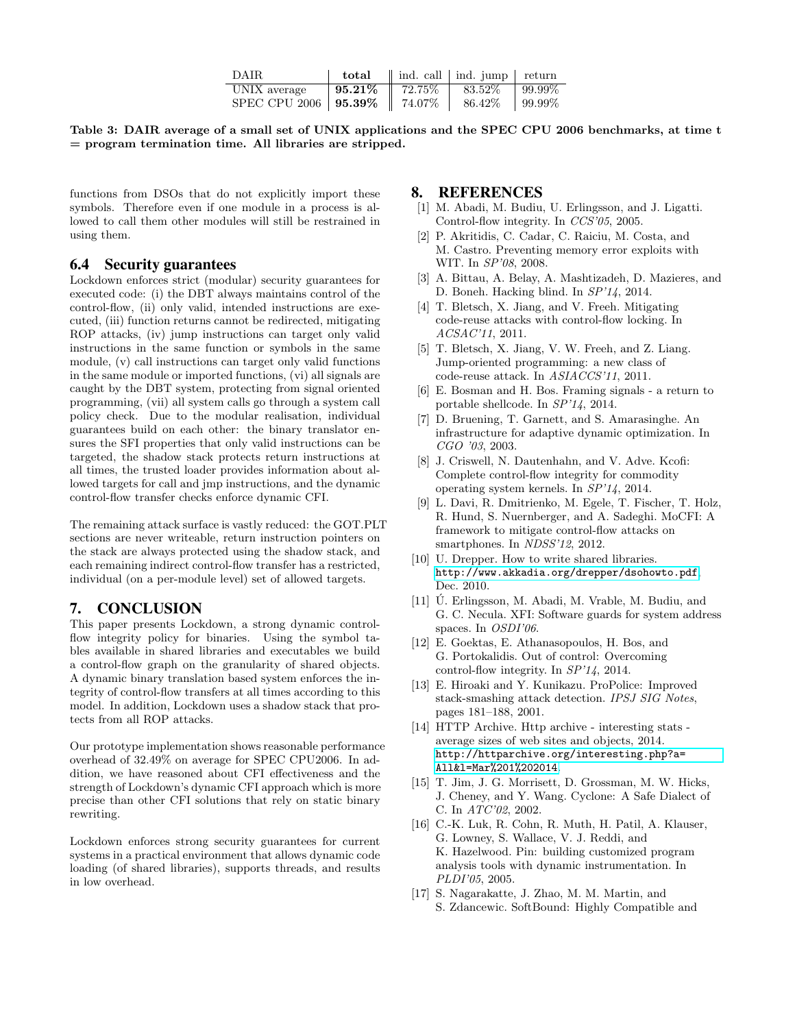| DAIR.                           |  | <b>total</b> $\parallel$ ind. call $\parallel$ ind. jump $\parallel$ return |  |
|---------------------------------|--|-----------------------------------------------------------------------------|--|
| UNIX average                    |  | <b>95.21%</b>    72.75%    83.52%    99.99%                                 |  |
| SPEC CPU 2006   95.39%   74.07% |  | 86.42\%   99.99\%                                                           |  |

<span id="page-8-18"></span>Table 3: DAIR average of a small set of UNIX applications and the SPEC CPU 2006 benchmarks, at time t = program termination time. All libraries are stripped.

functions from DSOs that do not explicitly import these symbols. Therefore even if one module in a process is allowed to call them other modules will still be restrained in using them.

#### 6.4 Security guarantees

Lockdown enforces strict (modular) security guarantees for executed code: (i) the DBT always maintains control of the control-flow, (ii) only valid, intended instructions are executed, (iii) function returns cannot be redirected, mitigating ROP attacks, (iv) jump instructions can target only valid instructions in the same function or symbols in the same module, (v) call instructions can target only valid functions in the same module or imported functions, (vi) all signals are caught by the DBT system, protecting from signal oriented programming, (vii) all system calls go through a system call policy check. Due to the modular realisation, individual guarantees build on each other: the binary translator ensures the SFI properties that only valid instructions can be targeted, the shadow stack protects return instructions at all times, the trusted loader provides information about allowed targets for call and jmp instructions, and the dynamic control-flow transfer checks enforce dynamic CFI.

The remaining attack surface is vastly reduced: the GOT.PLT sections are never writeable, return instruction pointers on the stack are always protected using the shadow stack, and each remaining indirect control-flow transfer has a restricted, individual (on a per-module level) set of allowed targets.

#### <span id="page-8-8"></span>7. CONCLUSION

This paper presents Lockdown, a strong dynamic controlflow integrity policy for binaries. Using the symbol tables available in shared libraries and executables we build a control-flow graph on the granularity of shared objects. A dynamic binary translation based system enforces the integrity of control-flow transfers at all times according to this model. In addition, Lockdown uses a shadow stack that protects from all ROP attacks.

Our prototype implementation shows reasonable performance overhead of 32.49% on average for SPEC CPU2006. In addition, we have reasoned about CFI effectiveness and the strength of Lockdown's dynamic CFI approach which is more precise than other CFI solutions that rely on static binary rewriting.

Lockdown enforces strong security guarantees for current systems in a practical environment that allows dynamic code loading (of shared libraries), supports threads, and results in low overhead.

#### 8. REFERENCES

- <span id="page-8-1"></span>[1] M. Abadi, M. Budiu, U. Erlingsson, and J. Ligatti. Control-flow integrity. In CCS'05, 2005.
- <span id="page-8-12"></span>[2] P. Akritidis, C. Cadar, C. Raiciu, M. Costa, and M. Castro. Preventing memory error exploits with WIT. In SP'08, 2008.
- <span id="page-8-5"></span>[3] A. Bittau, A. Belay, A. Mashtizadeh, D. Mazieres, and D. Boneh. Hacking blind. In SP'14, 2014.
- <span id="page-8-3"></span>[4] T. Bletsch, X. Jiang, and V. Freeh. Mitigating code-reuse attacks with control-flow locking. In ACSAC'11, 2011.
- <span id="page-8-9"></span>[5] T. Bletsch, X. Jiang, V. W. Freeh, and Z. Liang. Jump-oriented programming: a new class of code-reuse attack. In ASIACCS'11, 2011.
- <span id="page-8-6"></span>[6] E. Bosman and H. Bos. Framing signals - a return to portable shellcode. In SP'14, 2014.
- <span id="page-8-15"></span>[7] D. Bruening, T. Garnett, and S. Amarasinghe. An infrastructure for adaptive dynamic optimization. In CGO '03, 2003.
- <span id="page-8-4"></span>[8] J. Criswell, N. Dautenhahn, and V. Adve. Kcofi: Complete control-flow integrity for commodity operating system kernels. In SP'14, 2014.
- <span id="page-8-13"></span>[9] L. Davi, R. Dmitrienko, M. Egele, T. Fischer, T. Holz, R. Hund, S. Nuernberger, and A. Sadeghi. MoCFI: A framework to mitigate control-flow attacks on smartphones. In NDSS'12, 2012.
- <span id="page-8-16"></span>[10] U. Drepper. How to write shared libraries. <http://www.akkadia.org/drepper/dsohowto.pdf>, Dec. 2010.
- <span id="page-8-2"></span>[11]  $\dot{U}$ . Erlingsson, M. Abadi, M. Vrable, M. Budiu, and G. C. Necula. XFI: Software guards for system address spaces. In OSDI'06.
- <span id="page-8-7"></span>[12] E. Goektas, E. Athanasopoulos, H. Bos, and G. Portokalidis. Out of control: Overcoming control-flow integrity. In SP'14, 2014.
- <span id="page-8-0"></span>[13] E. Hiroaki and Y. Kunikazu. ProPolice: Improved stack-smashing attack detection. IPSJ SIG Notes, pages 181–188, 2001.
- <span id="page-8-17"></span>[14] HTTP Archive. Http archive - interesting stats average sizes of web sites and objects, 2014. [http://httparchive.org/interesting.php?a=](http://httparchive.org/interesting.php?a=All&l=Mar%201%202014) [All&l=Mar%201%202014](http://httparchive.org/interesting.php?a=All&l=Mar%201%202014).
- <span id="page-8-10"></span>[15] T. Jim, J. G. Morrisett, D. Grossman, M. W. Hicks, J. Cheney, and Y. Wang. Cyclone: A Safe Dialect of C. In ATC'02, 2002.
- <span id="page-8-14"></span>[16] C.-K. Luk, R. Cohn, R. Muth, H. Patil, A. Klauser, G. Lowney, S. Wallace, V. J. Reddi, and K. Hazelwood. Pin: building customized program analysis tools with dynamic instrumentation. In PLDI'05, 2005.
- <span id="page-8-11"></span>[17] S. Nagarakatte, J. Zhao, M. M. Martin, and S. Zdancewic. SoftBound: Highly Compatible and